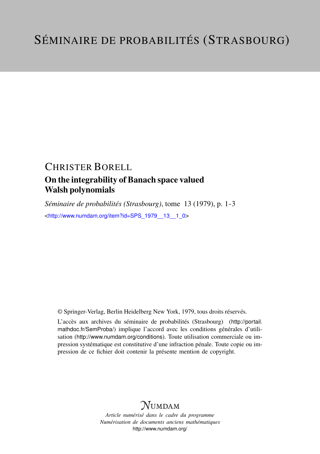## CHRISTER BORELL

### On the integrability of Banach space valued Walsh polynomials

*Séminaire de probabilités (Strasbourg)*, tome 13 (1979), p. 1-3 <[http://www.numdam.org/item?id=SPS\\_1979\\_\\_13\\_\\_1\\_0](http://www.numdam.org/item?id=SPS_1979__13__1_0)>

© Springer-Verlag, Berlin Heidelberg New York, 1979, tous droits réservés.

L'accès aux archives du séminaire de probabilités (Strasbourg) ([http://portail.](http://portail.mathdoc.fr/SemProba/) [mathdoc.fr/SemProba/](http://portail.mathdoc.fr/SemProba/)) implique l'accord avec les conditions générales d'utilisation (<http://www.numdam.org/conditions>). Toute utilisation commerciale ou impression systématique est constitutive d'une infraction pénale. Toute copie ou impression de ce fichier doit contenir la présente mention de copyright.

# **NUMDAM**

*Article numérisé dans le cadre du programme Numérisation de documents anciens mathématiques* <http://www.numdam.org/>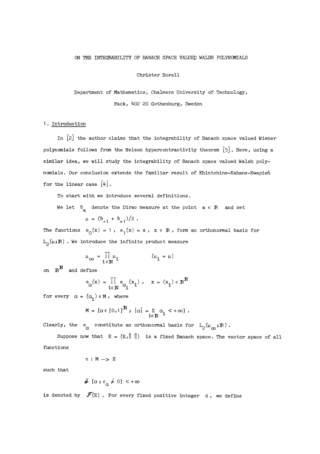#### ON THE INTEGRABILITY OF BANACH SPACE VALUED WALSH POLYNOMIALS

#### Christer Borell

Department of Mathematics, Chalmers University of Technology, Fack, 402 20 Gothenburg, Sweden

#### 1. Introduction

In  $[2]$  the author claims that the integrability of Banach space valued Wiener polynomials follows from the Nelson hypercontractivity theorem  $[5]$ . Here, using a similar idea, we will study the integrability of Banach space valued Walsh polynomials. Our conclusion extends the familiar result of Khintchine-Kahane-Kwapien for the linear case  $[4]$ .

To start with we introduce several definitions.

We let  $\delta_a$  denote the Dirac measure at the point  $a \in \mathbb{R}$  and set  $\mu = (\delta_{-1} + \delta_{+1})/2$ .

The functions  $e_0(x) = 1$ ,  $e_1(x) = x$ ,  $x \in \mathbb{R}$ , form an orthonormal basis for  $L_0(\mu;\mathbb{R})$  . We introduce the infinite product measure

$$
\mu_{\infty} = \prod_{i \in \mathbb{N}} \mu_i \qquad (\mu_i = \mu)
$$

on  $\mathbb{R}^N$  and define

$$
e_{\alpha}(x) = \prod_{i \in \mathbb{N}} e_{\alpha_i}(x_i), \quad x = (x_i) \in \mathbb{R}^{\mathbb{N}}
$$

for every  $\alpha = (\alpha_i) \in M$ , where

$$
M = {\alpha \in [0,1]}^{\mathbb{N}}, |\alpha| = \sum_{i \in \mathbb{N}} \alpha_i < +\infty.
$$

Clearly, the  $e_{\alpha}$  constitute an orthonormal basis for  $L_2(\mu_{\infty},\mathbb{R})$ .

Suppose now that  $E = (E, \|\ \|)$  is a fixed Banach space. The vector space of all functions

$$
c\,:\,\mathtt{M}\,\longrightarrow\,\mathtt{E}
$$

such that

$$
\# (\alpha : c_{\alpha} \neq 0) < +\infty
$$

is denoted by  $\mathscr{F}(\mathbb{E})$  . For every fixed positive integer d, we define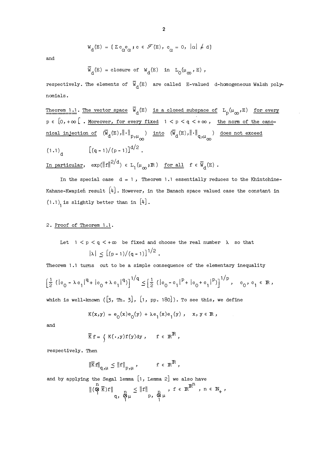$$
W_{d}(E) = \{ \Sigma c_{\alpha} e_{\alpha} \; ; \; c \in \mathscr{F}(E), \; c_{\alpha} = 0, \; |\alpha| \neq d \}
$$

and

$$
\overline{W}_d(E) = \text{closure of } W_d(E) \text{ in } L_0(\mu_\infty, E),
$$

respectively. The elements of  $\overline{W}_{d}(E)$  are called E-valued d-homogeneous Walsh polynomials.

Theorem 1.1. The vector space  $\bar{W}_d(E)$  is a closed subspace of  $L_p(\mu_\infty, E)$  for every  $p \in [0, +\infty)$ . Moreover, for every fixed  $1 < p < q < +\infty$ , the norm of the canonical injection of  $(\overline{W}_d(E),\left\| \cdot \right\|_{p,\mu_{\infty}})$  into  $(\overline{W}_d(E),\left\| \cdot \right\|_{q,\mu_{\infty}})$  does not exceed  $(1.1)$   $\left[ (q-1)/(p-1) \right]^{d/2}$ .

In particular,  $\exp(\|f\|^{2/d}) \in L_1(\mu_\infty;\mathbb{R})$  for all  $f \in \overline{W}_d(E)$ .

In the special case  $d = 1$ , Theorem 1.1 essentially reduces to the Khintchine-Kahane-Kwapień result  $[4]$ . However, in the Banach space valued case the constant in  $(1.1)$  is slightly better than in  $[4]$ .

#### 2. Proof of Theorem 1.1. .

Let 
$$
1 < p < q < +\infty
$$
 be fixed and choose the real number  $\lambda$  so that  $|\lambda| \leq \left[ (p-1)/(q-1) \right]^{1/2}$ .

Theorem 1.1 turns out to be a simple consequence of the elementary inequality

$$
\left[\frac{1}{2}(|c_0 - \lambda c_1|^q + |c_0 + \lambda c_1|^q)\right]^{1/q} \le \left[\frac{1}{2}(|c_0 - c_1|^p + |c_0 + c_1|^p)\right]^{1/p}, \quad c_0, c_1 \in \mathbb{R},
$$

which is well-known  $([3, Th. 3], [1, pp. 180])$ . To see this, we define

$$
K(x,y) = e_0(x)e_0(y) + \lambda e_1(x)e_1(y), \quad x, y \in \mathbb{R},
$$

and

$$
\overline{K} f = \left\{ K(\cdot, y) f(y) dy, \quad f \in \mathbb{R}^{\mathbb{R}}, \right\}
$$

respectively. Then

$$
\|\overline{\kappa}\,f\|_{q,\mu} \leq \|f\|_{p,\mu} \,, \qquad f \in \mathbb{R}^{\mathbb{R}},
$$

and by applying the Segal lemma  $[1,$  Lemma 2] we also have  $\frac{n}{\|(Q\oplus K)f\|}$   $\leq$   $\|f\|$  $n - \mathbb{R}^n$ 

$$
\begin{array}{c}{(\mathbb{Q}\ K)f} \parallel \qquad \qquad \underset{q, \ \mathbb{Q}\ \mu}{\sup} \qquad \qquad \underset{q, \ \mathbb{Q}\ \mu}{\leq \|f\|} \qquad \qquad \underset{q, \ \mathbb{Q}\ \mu}{\sup} \qquad \qquad \ \ \text{for all}\qquad \qquad \ \ \text{for all}\qquad \qquad \ \ \text{for all}\qquad \qquad \ \ \text{for all}\qquad \qquad \ \ \text{for all}\qquad \qquad \ \ \text{for all}\qquad \qquad \ \ \text{for all}\qquad \qquad \ \ \text{for all}\qquad \qquad \ \ \text{for all}\qquad \qquad \ \ \text{for all}\qquad \qquad \ \ \text{for all}\qquad \qquad \ \ \text{for all}\qquad \qquad \ \ \text{for all}\qquad \qquad \ \ \text{for all}\qquad \qquad \ \ \text{for all}\qquad \qquad \ \ \text{for all}\qquad \qquad \ \ \text{for all}\qquad \qquad \ \ \text{for all}\qquad \qquad \ \ \text{for all}\qquad \qquad \ \ \text{for all}\qquad \qquad \ \ \text{for all}\qquad \qquad \ \ \text{for all}\qquad \qquad \ \ \text{for all}\qquad \qquad \ \ \text{for all}\qquad \qquad \ \ \text{for all}\qquad \qquad \ \ \, \text{for all}\qquad \qquad \ \ \, \text{for all}\qquad \qquad \ \ \, \text{for all}\qquad \qquad \ \ \, \text{for all}\qquad \qquad \ \ \, \text{for all}\qquad \qquad \ \ \, \text{for all}\qquad \qquad \ \ \, \text{for all}\qquad \qquad \ \ \, \text{for all}\qquad \qquad \ \ \, \text{for all}\qquad \qquad \ \ \, \text{for all}\qquad \qquad \ \ \, \text{for all}\qquad \qquad \ \ \, \text{for all}\qquad \qquad \ \ \, \text{for all}\qquad \qquad \ \ \, \text{for all}\qquad \qquad \ \ \, \text{for all}\qquad \qquad \ \ \, \text{for all}\qquad \qquad \ \ \, \text{
$$